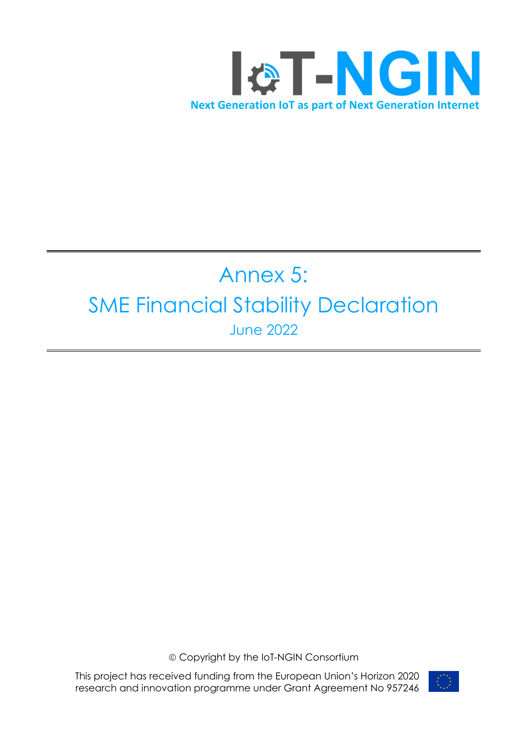

# Annex 5: SME Financial Stability Declaration June 2022

ã Copyright by the IoT-NGIN Consortium

This project has received funding from the European Union's Horizon 2020 research and innovation programme under Grant Agreement No 957246

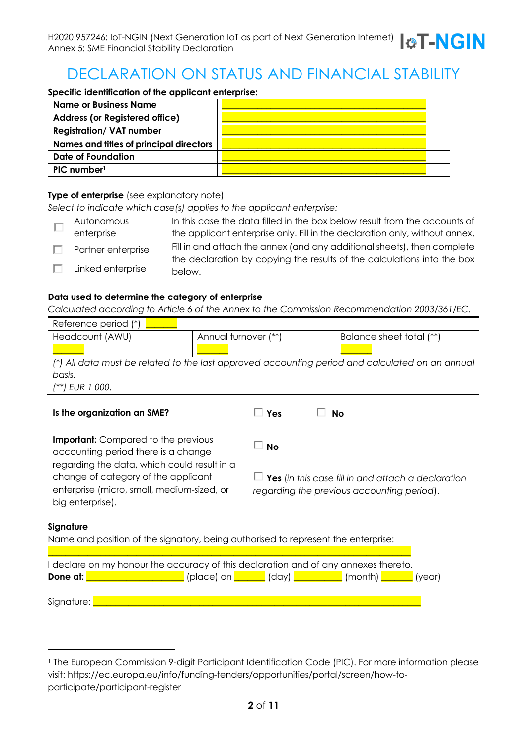# DECLARATION ON STATUS AND FINANCIAL STABILITY

**Specific identification of the applicant enterprise:**

| Name or Business Name                   |  |
|-----------------------------------------|--|
| <b>Address (or Registered office)</b>   |  |
| <b>Registration/ VAT number</b>         |  |
| Names and titles of principal directors |  |
| Date of Foundation                      |  |
| PIC number <sup>1</sup>                 |  |

#### **Type of enterprise** (see explanatory note)

*Select to indicate which case(s) applies to the applicant enterprise:*

| Autonomous         | In this case the data filled in the box below result from the accounts of         |
|--------------------|-----------------------------------------------------------------------------------|
| enterprise         | the applicant enterprise only. Fill in the declaration only, without annex.       |
| Partner enterprise | Fill in and attach the annex (and any additional sheets), then complete           |
| Linked enterprise  | the declaration by copying the results of the calculations into the box<br>below. |

#### **Data used to determine the category of enterprise**

*Calculated according to Article 6 of the Annex to the Commission Recommendation 2003/361/EC.*

| Reference period (*) |                                                                                                 |                          |
|----------------------|-------------------------------------------------------------------------------------------------|--------------------------|
| Headcount (AWU)      | Annual turnover (**)                                                                            | Balance sheet total (**) |
|                      |                                                                                                 |                          |
|                      | (*) All data must be related to the last approved accounting period and calculated on an annual |                          |
| basis.               |                                                                                                 |                          |
| (**) EUR 1 000.      |                                                                                                 |                          |
|                      |                                                                                                 |                          |

**No**

| Is the organization an SME? |
|-----------------------------|
|-----------------------------|

**Is the organization an SME? Yes No**

**Important:** Compared to the previous accounting period there is a change regarding the data, which could result in a change of category of the applicant enterprise (micro, small, medium-sized, or big enterprise).

**Yes** (*in this case fill in and attach a declaration regarding the previous accounting period*).

#### **Signature**

Name and position of the signatory, being authorised to represent the enterprise:

| I declare on my honour the accuracy of this declaration and of any annexes thereto. |  |  |                                                           |  |  |
|-------------------------------------------------------------------------------------|--|--|-----------------------------------------------------------|--|--|
| Done at:                                                                            |  |  | (place) on _______ (day) __________ (month) ______ (year) |  |  |
|                                                                                     |  |  |                                                           |  |  |
| Signature:                                                                          |  |  |                                                           |  |  |

<sup>&</sup>lt;sup>1</sup> The European Commission 9-digit Participant Identification Code (PIC). For more information please visit: https://ec.europa.eu/info/funding-tenders/opportunities/portal/screen/how-toparticipate/participant-register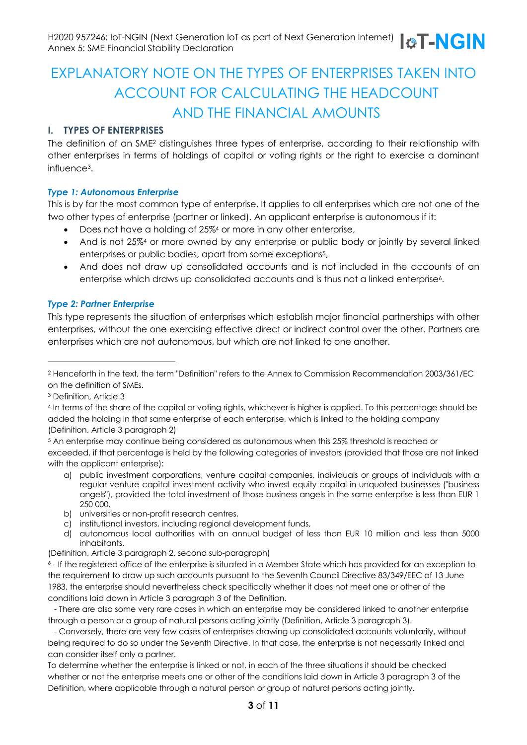### EXPLANATORY NOTE ON THE TYPES OF ENTERPRISES TAKEN INTO ACCOUNT FOR CALCULATING THE HEADCOUNT AND THE FINANCIAL AMOUNTS

#### **I. TYPES OF ENTERPRISES**

The definition of an SME2 distinguishes three types of enterprise, according to their relationship with other enterprises in terms of holdings of capital or voting rights or the right to exercise a dominant influence3.

#### *Type 1: Autonomous Enterprise*

This is by far the most common type of enterprise. It applies to all enterprises which are not one of the two other types of enterprise (partner or linked). An applicant enterprise is autonomous if it:

- Does not have a holding of 25%4 or more in any other enterprise,
- And is not 25%4 or more owned by any enterprise or public body or jointly by several linked enterprises or public bodies, apart from some exceptions<sup>5</sup>,
- And does not draw up consolidated accounts and is not included in the accounts of an enterprise which draws up consolidated accounts and is thus not a linked enterprise<sup>6</sup>.

#### *Type 2: Partner Enterprise*

This type represents the situation of enterprises which establish major financial partnerships with other enterprises, without the one exercising effective direct or indirect control over the other. Partners are enterprises which are not autonomous, but which are not linked to one another.

<sup>3</sup> Definition, Article 3

- <sup>5</sup> An enterprise may continue being considered as autonomous when this 25% threshold is reached or exceeded, if that percentage is held by the following categories of investors (provided that those are not linked with the applicant enterprise):
	- a) public investment corporations, venture capital companies, individuals or groups of individuals with a regular venture capital investment activity who invest equity capital in unquoted businesses ("business angels"), provided the total investment of those business angels in the same enterprise is less than EUR 1 250 000,
	- b) universities or non-profit research centres,
	- c) institutional investors, including regional development funds,
	- d) autonomous local authorities with an annual budget of less than EUR 10 million and less than 5000 inhabitants.
- (Definition, Article 3 paragraph 2, second sub-paragraph)

<sup>2</sup> Henceforth in the text, the term "Definition" refers to the Annex to Commission Recommendation 2003/361/EC on the definition of SMEs.

<sup>4</sup> In terms of the share of the capital or voting rights, whichever is higher is applied. To this percentage should be added the holding in that same enterprise of each enterprise, which is linked to the holding company (Definition, Article 3 paragraph 2)

<sup>6</sup> - If the registered office of the enterprise is situated in a Member State which has provided for an exception to the requirement to draw up such accounts pursuant to the Seventh Council Directive 83/349/EEC of 13 June 1983, the enterprise should nevertheless check specifically whether it does not meet one or other of the conditions laid down in Article 3 paragraph 3 of the Definition.

<sup>-</sup> There are also some very rare cases in which an enterprise may be considered linked to another enterprise through a person or a group of natural persons acting jointly (Definition, Article 3 paragraph 3).

<sup>-</sup> Conversely, there are very few cases of enterprises drawing up consolidated accounts voluntarily, without being required to do so under the Seventh Directive. In that case, the enterprise is not necessarily linked and can consider itself only a partner.

To determine whether the enterprise is linked or not, in each of the three situations it should be checked whether or not the enterprise meets one or other of the conditions laid down in Article 3 paragraph 3 of the Definition, where applicable through a natural person or group of natural persons acting jointly.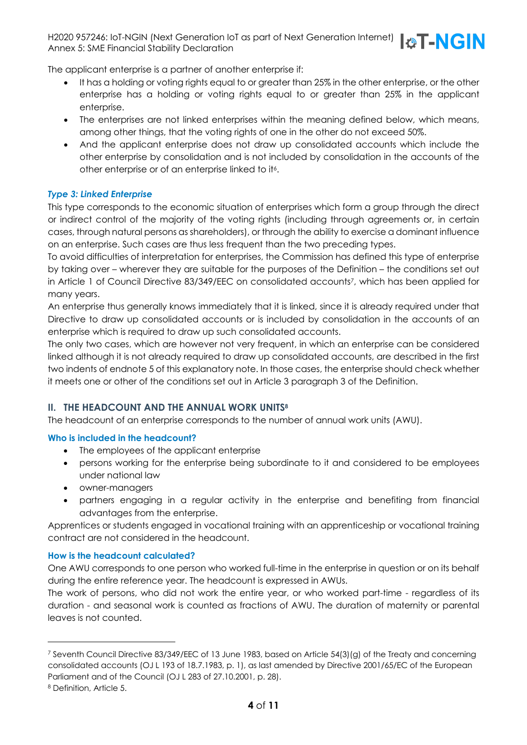H2020 957246: IoT-NGIN (Next Generation IoT as part of Next Generation Internet)  $\Box$   $\Box$   $\Box$ Annex 5: SME Financial Stability Declaration



The applicant enterprise is a partner of another enterprise if:

- It has a holding or voting rights equal to or greater than 25% in the other enterprise, or the other enterprise has a holding or voting rights equal to or greater than 25% in the applicant enterprise.
- The enterprises are not linked enterprises within the meaning defined below, which means, among other things, that the voting rights of one in the other do not exceed 50%.
- And the applicant enterprise does not draw up consolidated accounts which include the other enterprise by consolidation and is not included by consolidation in the accounts of the other enterprise or of an enterprise linked to it<sup>6</sup>.

#### *Type 3: Linked Enterprise*

This type corresponds to the economic situation of enterprises which form a group through the direct or indirect control of the majority of the voting rights (including through agreements or, in certain cases, through natural persons as shareholders), or through the ability to exercise a dominant influence on an enterprise. Such cases are thus less frequent than the two preceding types.

To avoid difficulties of interpretation for enterprises, the Commission has defined this type of enterprise by taking over – wherever they are suitable for the purposes of the Definition – the conditions set out in Article 1 of Council Directive 83/349/EEC on consolidated accounts<sup>7</sup>, which has been applied for many years.

An enterprise thus generally knows immediately that it is linked, since it is already required under that Directive to draw up consolidated accounts or is included by consolidation in the accounts of an enterprise which is required to draw up such consolidated accounts.

The only two cases, which are however not very frequent, in which an enterprise can be considered linked although it is not already required to draw up consolidated accounts, are described in the first two indents of endnote 5 of this explanatory note. In those cases, the enterprise should check whether it meets one or other of the conditions set out in Article 3 paragraph 3 of the Definition.

#### **II. THE HEADCOUNT AND THE ANNUAL WORK UNITS8**

The headcount of an enterprise corresponds to the number of annual work units (AWU).

#### **Who is included in the headcount?**

- The employees of the applicant enterprise
- persons working for the enterprise being subordinate to it and considered to be employees under national law
- owner-managers
- partners engaging in a regular activity in the enterprise and benefiting from financial advantages from the enterprise.

Apprentices or students engaged in vocational training with an apprenticeship or vocational training contract are not considered in the headcount.

#### **How is the headcount calculated?**

One AWU corresponds to one person who worked full-time in the enterprise in question or on its behalf during the entire reference year. The headcount is expressed in AWUs.

The work of persons, who did not work the entire year, or who worked part-time - regardless of its duration - and seasonal work is counted as fractions of AWU. The duration of maternity or parental leaves is not counted.

<sup>7</sup> Seventh Council Directive 83/349/EEC of 13 June 1983, based on Article 54(3)(g) of the Treaty and concerning consolidated accounts (OJ L 193 of 18.7.1983, p. 1), as last amended by Directive 2001/65/EC of the European Parliament and of the Council (OJ L 283 of 27.10.2001, p. 28).

<sup>8</sup> Definition, Article 5.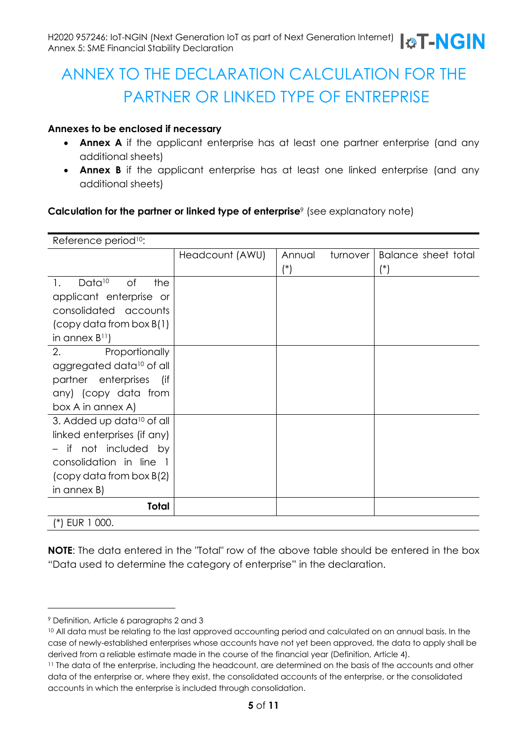# ANNEX TO THE DECLARATION CALCULATION FOR THE PARTNER OR LINKED TYPE OF ENTREPRISE

#### **Annexes to be enclosed if necessary**

- **Annex A** if the applicant enterprise has at least one partner enterprise (and any additional sheets)
- **Annex B** if the applicant enterprise has at least one linked enterprise (and any additional sheets)

#### **Calculation for the partner or linked type of enterprise**<sup>9</sup> (see explanatory note)

| Reference period <sup>10</sup> :               |                 |                    |                     |
|------------------------------------------------|-----------------|--------------------|---------------------|
|                                                | Headcount (AWU) | Annual<br>turnover | Balance sheet total |
|                                                |                 | $(\hbox{}^*)$      | $(\ast)$            |
| Data <sup>10</sup><br>of<br>1.<br>the          |                 |                    |                     |
| applicant enterprise or                        |                 |                    |                     |
| consolidated accounts                          |                 |                    |                     |
| $\left(\text{copy data from box } B(1)\right)$ |                 |                    |                     |
| in annex $B^{11}$ )                            |                 |                    |                     |
| 2.<br>Proportionally                           |                 |                    |                     |
| aggregated data <sup>10</sup> of all           |                 |                    |                     |
| partner enterprises<br>lif)                    |                 |                    |                     |
| any) (copy data from                           |                 |                    |                     |
| box A in annex A)                              |                 |                    |                     |
| 3. Added up data <sup>10</sup> of all          |                 |                    |                     |
| linked enterprises (if any)                    |                 |                    |                     |
| - if not included by                           |                 |                    |                     |
| consolidation in line 1                        |                 |                    |                     |
| $\left(\text{copy data from box }B(2)\right)$  |                 |                    |                     |
| in annex $B$ )                                 |                 |                    |                     |
| Total                                          |                 |                    |                     |
| (*) EUR 1 000.                                 |                 |                    |                     |

**NOTE**: The data entered in the "Total" row of the above table should be entered in the box "Data used to determine the category of enterprise" in the declaration.

<sup>9</sup> Definition, Article 6 paragraphs 2 and 3

<sup>10</sup> All data must be relating to the last approved accounting period and calculated on an annual basis. In the case of newly-established enterprises whose accounts have not yet been approved, the data to apply shall be derived from a reliable estimate made in the course of the financial year (Definition, Article 4).

<sup>11</sup> The data of the enterprise, including the headcount, are determined on the basis of the accounts and other data of the enterprise or, where they exist, the consolidated accounts of the enterprise, or the consolidated accounts in which the enterprise is included through consolidation.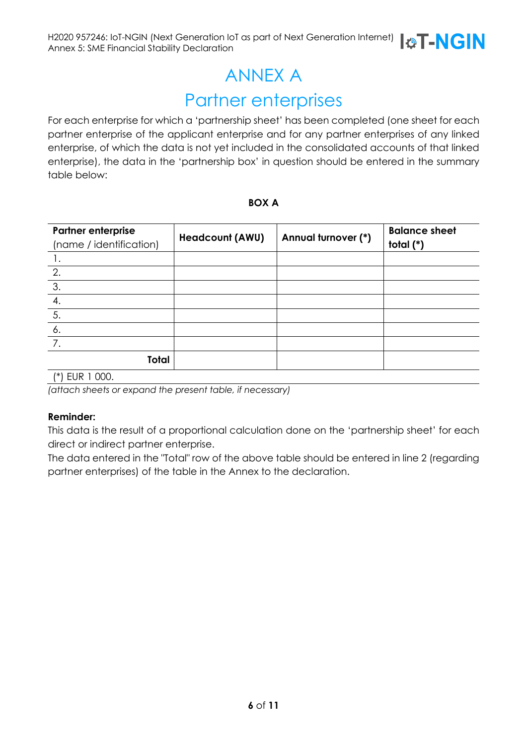# ANNEX A

# Partner enterprises

For each enterprise for which a 'partnership sheet' has been completed (one sheet for each partner enterprise of the applicant enterprise and for any partner enterprises of any linked enterprise, of which the data is not yet included in the consolidated accounts of that linked enterprise), the data in the 'partnership box' in question should be entered in the summary table below:

#### **BOX A**

| <b>Headcount (AWU)</b> | Annual turnover (*) | <b>Balance sheet</b><br>total $(*)$ |
|------------------------|---------------------|-------------------------------------|
|                        |                     |                                     |
|                        |                     |                                     |
|                        |                     |                                     |
|                        |                     |                                     |
|                        |                     |                                     |
|                        |                     |                                     |
|                        |                     |                                     |
|                        |                     |                                     |
|                        |                     |                                     |

(\*) EUR 1 000.

*(attach sheets or expand the present table, if necessary)*

#### **Reminder:**

This data is the result of a proportional calculation done on the 'partnership sheet' for each direct or indirect partner enterprise.

The data entered in the "Total" row of the above table should be entered in line 2 (regarding partner enterprises) of the table in the Annex to the declaration.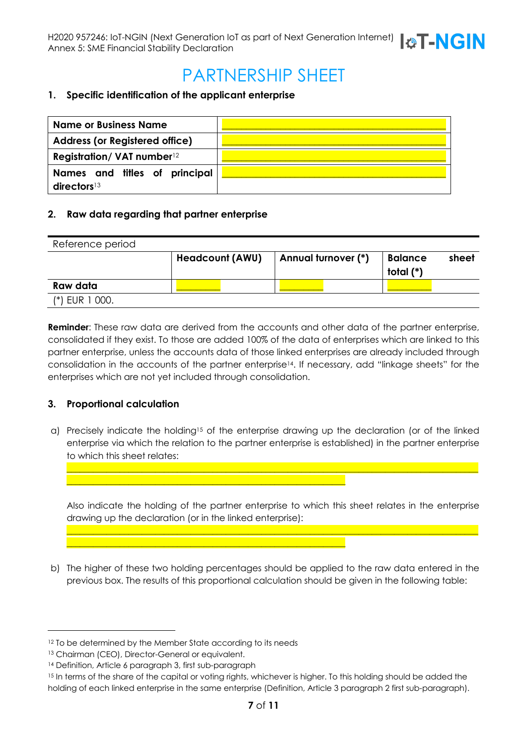# PARTNERSHIP SHEET

#### **1. Specific identification of the applicant enterprise**

| <b>Name or Business Name</b>                             |  |
|----------------------------------------------------------|--|
| <b>Address (or Registered office)</b>                    |  |
| Registration/ VAT number <sup>12</sup>                   |  |
| Names and titles of principal<br>directors <sup>13</sup> |  |

#### **2. Raw data regarding that partner enterprise**

| Reference period |                        |                     |                             |       |
|------------------|------------------------|---------------------|-----------------------------|-------|
|                  | <b>Headcount (AWU)</b> | Annual turnover (*) | <b>Balance</b><br>total (*) | sheet |
| Raw data         |                        |                     |                             |       |
| $(*)$ EUR 1 000. |                        |                     |                             |       |

**Reminder**: These raw data are derived from the accounts and other data of the partner enterprise, consolidated if they exist. To those are added 100% of the data of enterprises which are linked to this partner enterprise, unless the accounts data of those linked enterprises are already included through consolidation in the accounts of the partner enterprise14. If necessary, add "linkage sheets" for the enterprises which are not yet included through consolidation.

#### **3. Proportional calculation**

a) Precisely indicate the holding15 of the enterprise drawing up the declaration (or of the linked enterprise via which the relation to the partner enterprise is established) in the partner enterprise to which this sheet relates:

Also indicate the holding of the partner enterprise to which this sheet relates in the enterprise drawing up the declaration (or in the linked enterprise):

\_\_\_\_\_\_\_\_\_\_\_\_\_\_\_\_\_\_\_\_\_\_\_\_\_\_\_\_\_\_\_\_\_\_\_\_\_\_\_\_\_\_\_\_\_\_\_\_\_\_\_\_\_\_\_\_\_\_\_\_\_\_\_\_\_\_\_\_\_\_\_\_\_\_\_\_\_\_\_\_\_\_\_\_\_\_\_\_\_\_\_\_\_

\_\_\_\_\_\_\_\_\_\_\_\_\_\_\_\_\_\_\_\_\_\_\_\_\_\_\_\_\_\_\_\_\_\_\_\_\_\_\_\_\_\_\_\_\_\_\_\_\_\_\_\_\_\_\_\_\_\_\_\_\_\_\_\_\_\_\_\_\_\_\_\_\_\_\_\_\_\_\_\_\_\_\_\_\_\_\_\_\_\_\_\_\_

b) The higher of these two holding percentages should be applied to the raw data entered in the previous box. The results of this proportional calculation should be given in the following table:

\_\_\_\_\_\_\_\_\_\_\_\_\_\_\_\_\_\_\_\_\_\_\_\_\_\_\_\_\_\_\_\_\_\_\_\_\_\_\_\_\_\_\_\_\_\_\_\_\_\_\_\_\_\_\_\_\_\_\_\_\_\_\_

\_\_\_\_\_\_\_\_\_\_\_\_\_\_\_\_\_\_\_\_\_\_\_\_\_\_\_\_\_\_\_\_\_\_\_\_\_\_\_\_\_\_\_\_\_\_\_\_\_\_\_\_\_\_\_\_\_\_\_\_\_\_\_

<sup>&</sup>lt;sup>12</sup> To be determined by the Member State according to its needs

<sup>13</sup> Chairman (CEO), Director-General or equivalent.

<sup>14</sup> Definition, Article 6 paragraph 3, first sub-paragraph

<sup>&</sup>lt;sup>15</sup> In terms of the share of the capital or voting rights, whichever is higher. To this holding should be added the holding of each linked enterprise in the same enterprise (Definition, Article 3 paragraph 2 first sub-paragraph).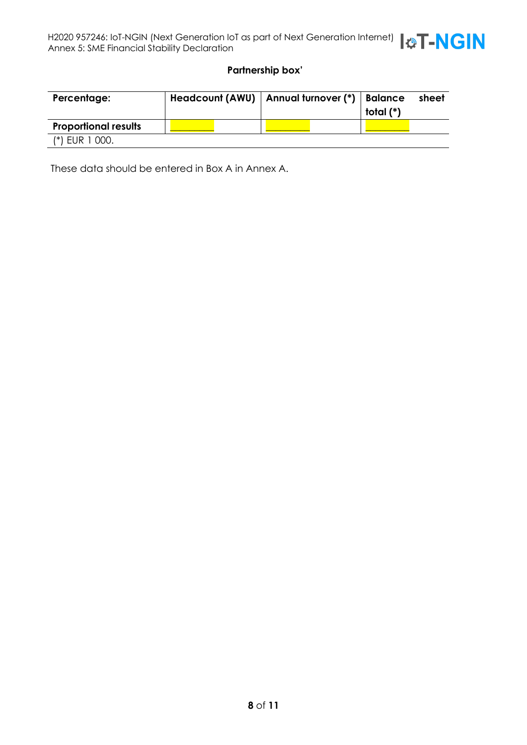

#### **Partnership box'**

| Percentage:                 | Headcount (AWU)   Annual turnover (*)   Balance |  | total (*) | sheet |
|-----------------------------|-------------------------------------------------|--|-----------|-------|
| <b>Proportional results</b> |                                                 |  |           |       |
| $(*)$ EUR 1 000.            |                                                 |  |           |       |

These data should be entered in Box A in Annex A.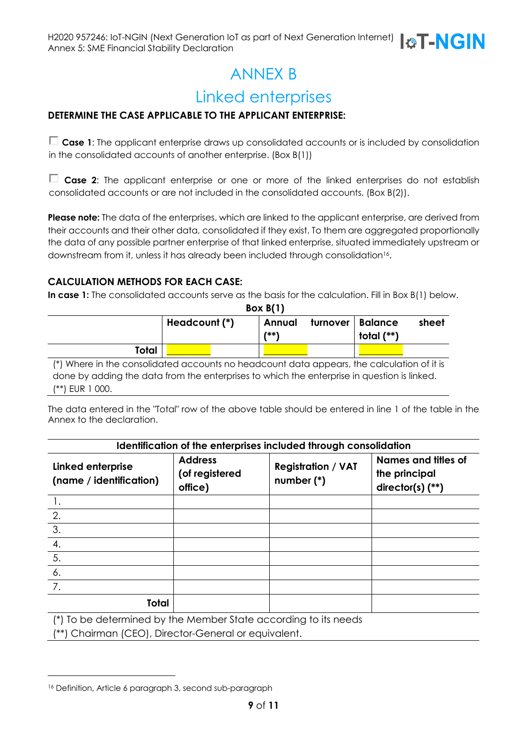# ANNEX B

# Linked enterprises

#### **DETERMINE THE CASE APPLICABLE TO THE APPLICANT ENTERPRISE:**

**Case 1**: The applicant enterprise draws up consolidated accounts or is included by consolidation in the consolidated accounts of another enterprise. (Box B(1))

**Case 2**: The applicant enterprise or one or more of the linked enterprises do not establish consolidated accounts or are not included in the consolidated accounts. (Box B(2)).

**Please note:** The data of the enterprises, which are linked to the applicant enterprise, are derived from their accounts and their other data, consolidated if they exist. To them are aggregated proportionally the data of any possible partner enterprise of that linked enterprise, situated immediately upstream or downstream from it, unless it has already been included through consolidation16.

#### **CALCULATION METHODS FOR EACH CASE:**

**In case 1:** The consolidated accounts serve as the basis for the calculation. Fill in Box B(1) below.

**Box B(1)**

| D(X, D)      |               |                       |                                             |
|--------------|---------------|-----------------------|---------------------------------------------|
|              | Headcount (*) | Annual<br><b>7**\</b> | turnover   Balance<br>sheet<br>total $(**)$ |
| <b>Total</b> |               |                       |                                             |

(\*) Where in the consolidated accounts no headcount data appears, the calculation of it is done by adding the data from the enterprises to which the enterprise in question is linked. (\*\*) EUR 1 000.

The data entered in the "Total" row of the above table should be entered in line 1 of the table in the Annex to the declaration.

| Identification of the enterprises included through consolidation                                                               |                                             |                                         |                                                            |  |  |
|--------------------------------------------------------------------------------------------------------------------------------|---------------------------------------------|-----------------------------------------|------------------------------------------------------------|--|--|
| <b>Linked enterprise</b><br>(name / identification)                                                                            | <b>Address</b><br>(of registered<br>office) | <b>Registration / VAT</b><br>number (*) | Names and titles of<br>the principal<br>director(s) $(**)$ |  |  |
|                                                                                                                                |                                             |                                         |                                                            |  |  |
| 2.                                                                                                                             |                                             |                                         |                                                            |  |  |
| $\overline{3}$ .                                                                                                               |                                             |                                         |                                                            |  |  |
| 4.                                                                                                                             |                                             |                                         |                                                            |  |  |
| $\overline{5}$ .                                                                                                               |                                             |                                         |                                                            |  |  |
| 6.                                                                                                                             |                                             |                                         |                                                            |  |  |
|                                                                                                                                |                                             |                                         |                                                            |  |  |
| <b>Total</b><br>renders and the second contract of the second second second second second second second second second second s |                                             |                                         |                                                            |  |  |

(\*) To be determined by the Member State according to its needs

(\*\*) Chairman (CEO), Director-General or equivalent.

<sup>16</sup> Definition, Article 6 paragraph 3, second sub-paragraph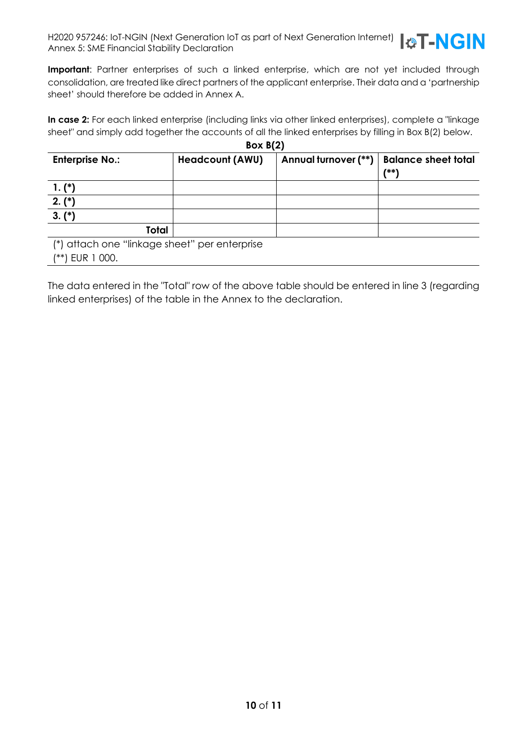

**Important**: Partner enterprises of such a linked enterprise, which are not yet included through consolidation, are treated like direct partners of the applicant enterprise. Their data and a 'partnership sheet' should therefore be added in Annex A.

**In case 2:** For each linked enterprise (including links via other linked enterprises), complete a "linkage sheet" and simply add together the accounts of all the linked enterprises by filling in Box B(2) below. **Box B(2)**

| DOX D(Z)                                      |                        |                      |                            |  |  |  |
|-----------------------------------------------|------------------------|----------------------|----------------------------|--|--|--|
| <b>Enterprise No.:</b>                        | <b>Headcount (AWU)</b> | Annual turnover (**) | <b>Balance sheet total</b> |  |  |  |
|                                               |                        |                      | 7**\                       |  |  |  |
| $1. (*)$                                      |                        |                      |                            |  |  |  |
| $2. (*)$                                      |                        |                      |                            |  |  |  |
| $3. (*)$                                      |                        |                      |                            |  |  |  |
| Total                                         |                        |                      |                            |  |  |  |
| (*) attach one "linkage sheet" per enterprise |                        |                      |                            |  |  |  |
| EUR 1 000.<br>/**)                            |                        |                      |                            |  |  |  |

The data entered in the "Total" row of the above table should be entered in line 3 (regarding linked enterprises) of the table in the Annex to the declaration.